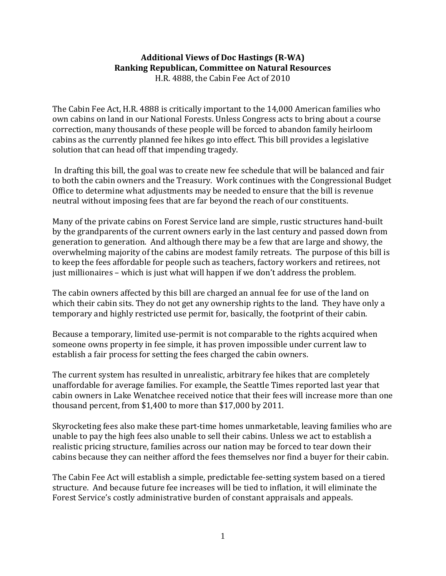## **Additional Views of Doc Hastings (R-WA) Ranking Republican, Committee on Natural Resources** H.R. 4888, the Cabin Fee Act of 2010

The Cabin Fee Act, H.R. 4888 is critically important to the 14,000 American families who own cabins on land in our National Forests. Unless Congress acts to bring about a course correction, many thousands of these people will be forced to abandon family heirloom cabins as the currently planned fee hikes go into effect. This bill provides a legislative solution that can head off that impending tragedy.

In drafting this bill, the goal was to create new fee schedule that will be balanced and fair to both the cabin owners and the Treasury. Work continues with the Congressional Budget Office to determine what adjustments may be needed to ensure that the bill is revenue neutral without imposing fees that are far beyond the reach of our constituents.

Many of the private cabins on Forest Service land are simple, rustic structures hand-built by the grandparents of the current owners early in the last century and passed down from generation to generation. And although there may be a few that are large and showy, the overwhelming majority of the cabins are modest family retreats. The purpose of this bill is to keep the fees affordable for people such as teachers, factory workers and retirees, not just millionaires – which is just what will happen if we don't address the problem.

The cabin owners affected by this bill are charged an annual fee for use of the land on which their cabin sits. They do not get any ownership rights to the land. They have only a temporary and highly restricted use permit for, basically, the footprint of their cabin.

Because a temporary, limited use-permit is not comparable to the rights acquired when someone owns property in fee simple, it has proven impossible under current law to establish a fair process for setting the fees charged the cabin owners.

The current system has resulted in unrealistic, arbitrary fee hikes that are completely unaffordable for average families. For example, the Seattle Times reported last year that cabin owners in Lake Wenatchee received notice that their fees will increase more than one thousand percent, from \$1,400 to more than \$17,000 by 2011.

Skyrocketing fees also make these part-time homes unmarketable, leaving families who are unable to pay the high fees also unable to sell their cabins. Unless we act to establish a realistic pricing structure, families across our nation may be forced to tear down their cabins because they can neither afford the fees themselves nor find a buyer for their cabin.

The Cabin Fee Act will establish a simple, predictable fee-setting system based on a tiered structure. And because future fee increases will be tied to inflation, it will eliminate the Forest Service's costly administrative burden of constant appraisals and appeals.